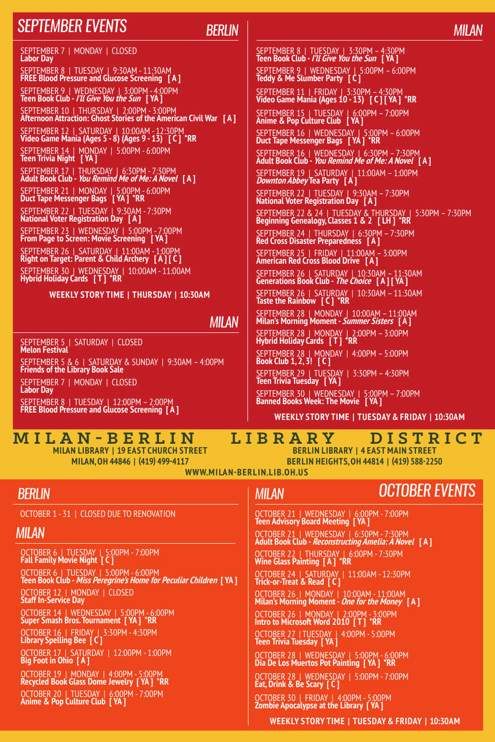## *September events*

### *Berlin*

*milan*

SEPTEMBER 7 | MONDAY | CLOSED **Labor Day** SEPTEMBER 8 | TUESDAY | 9:30AM - 11:30AM **FREE Blood Pressure and Glucose Screening [ A ]** SEPTEMBER 9 | WEDNESDAY | 3:00PM - 4:00PM **Teen Book Club - I'll Give You the Sun [ YA ]** SEPTEMBER 10 | THURSDAY | 2:00PM - 3:00PM **Afternoon Attraction: Ghost Stories of the American Civil War [ A ]** SEPTEMBER 12 | SATURDAY | 10:00AM - 12:30PM **Video Game Mania (Ages 5 - 8) (Ages 9 - 13) [ C ] \*RR** SEPTEMBER 14 | MONDAY | 5:00PM - 6:00PM **Teen Trivia Night [ YA ]** SEPTEMBER 17 | THURSDAY | 6:30PM - 7:30PM **Adult Book Club - You Remind Me of Me: A Novel [ A ]** SEPTEMBER 21 | MONDAY | 5:00PM - 6:00PM **Duct Tape Messenger Bags [ YA ] \*RR** SEPTEMBER 22 | TUESDAY | 9:30AM - 7:30PM **National Voter Registration Day [ A ]** SEPTEMBER 23 | WEDNESDAY | 5:00PM - 7:00PM **From Page to Screen: Movie Screening [ YA ]** SEPTEMBER 26 | SATURDAY | 11:00AM - 1:00PM **Right on Target: Parent & Child Archery [ A ] [ C ]**  SEPTEMBER 30 | WEDNESDAY | 10:00AM - 11:00AM **Hybrid Holiday Cards [ T ] \*RR**

**Weekly Story Time | THURSDAY | 10:30AM**

#### *milan*

SEPTEMBER 5 | SATURDAY | CLOSED **Melon Festival**

SEPTEMBER 5 & 6 | SATURDAY & SUNDAY | 9:30AM – 4:00PM **Friends of the Library Book Sale**

SEPTEMBER 7 | MONDAY | CLOSED **Labor Day** SEPTEMBER 8 | TUESDAY | 12:00PM – 2:00PM **FREE Blood Pressure and Glucose Screening [ A ]**

**Milan Library | 19 East Church Street Milan, OH 44846 | (419) 499-4117**

SEPTEMBER 8 | TUESDAY | 3:30PM – 4:30PM **Teen Book Club - I'll Give You the Sun [ YA ]** SEPTEMBER 9 | WEDNESDAY | 5:00PM – 6:00PM **Teddy & Me Slumber Party [ C ]** SEPTEMBER 11 | FRIDAY | 3:30PM – 4:30PM **Video Game Mania (Ages 10 - 13) [ C ] [ YA ] \*RR** SEPTEMBER 15 | TUESDAY | 6:00PM – 7:00PM **Anime & Pop Culture Club [ YA ]** SEPTEMBER 16 | WEDNESDAY | 5:00PM – 6:00PM **Duct Tape Messenger Bags [ YA ] \*RR** SEPTEMBER 16 | WEDNESDAY | 6:30PM – 7:30PM **Adult Book Club - You Remind Me of Me: A Novel [ A ]** SEPTEMBER 19 | SATURDAY | 11:00AM – 1:00PM **Downton Abbey Tea Party [ A ]** SEPTEMBER 22 | TUESDAY | 9:30AM – 7:30PM **National Voter Registration Day [ A ]** SEPTEMBER 22 & 24 | TUESDAY & THURSDAY | 5:30PM – 7:30PM **Beginning Genealogy, Classes 1 & 2 [ LH ] \*RR** SEPTEMBER 24 | THURSDAY | 6:30PM – 7:30PM **Red Cross Disaster Preparedness [ A ]** SEPTEMBER 25 | FRIDAY | 11:00AM – 3:00PM **American Red Cross Blood Drive [ A ]** SEPTEMBER 26 | SATURDAY | 10:30AM – 11:30AM **Generations Book Club - The Choice [ A ] [ YA ]** SEPTEMBER 26 | SATURDAY | 10:30AM – 11:30AM **Taste the Rainbow [ C ] \*RR** SEPTEMBER 28 | MONDAY | 10:00AM – 11:00AM **Milan's Morning Moment - Summer Sisters [ A ]** SEPTEMBER 28 | MONDAY | 2:00PM – 3:00PM **Hybrid Holiday Cards [ T ] \*RR** SEPTEMBER 28 | MONDAY | 4:00PM – 5:00PM **Book Club 1, 2, 3! [ C ]** SEPTEMBER 29 | TUESDAY | 3:30PM – 4:30PM **Teen Trivia Tuesday [ YA ]**

SEPTEMBER 30 | WEDNESDAY | 5:00PM – 7:00PM **Banned Books Week: The Movie [ YA ]**

**Weekly Story Time | TuesDAY & Friday | 10:30AM**

## **M i l a n - B e r l i n L i b r a r y D i s t r i c t**

**Berlin Library | 4 East Main Street Berlin Heights, OH 44814 | (419) 588-2250**

**www.mi la n-ber l i n.l i b.oh.u s**

## *Berlin*

OCTOBER 1 - 31 | CLOSED DUE TO RENOVATION

## *milan*

OCTOBER 6 | TUESDAY | 5:00PM - 7:00PM **Fall Family Movie Night [ C ]**

OCTOBER 6 | TUESDAY | 5:00PM - 6:00PM **Teen Book Club - Miss Peregrine's Home for Peculiar Children [ YA ]**

OCTOBER 12 | MONDAY | CLOSED **Staff In-Service Day**

OCTOBER 14 | WEDNESDAY | 5:00PM - 6:00PM **Super Smash Bros. Tournament [ YA ] \*RR**

OCTOBER 16 | FRIDAY | 3:30PM - 4:30PM **Library Spelling Bee [ C ]**

OCTOBER 17 | SATURDAY | 12:00PM - 1:00PM **Big Foot in Ohio [ A ]**

OCTOBER 19 | MONDAY | 4:00PM - 5:00PM **Recycled Book Glass Dome Jewelry [ YA ] \*RR** OCTOBER 20 | TUESDAY | 6:00PM - 7:00PM **Anime & Pop Culture Club [ YA ]**

*milan*

# *October events*

OCTOBER 21 | WEDNESDAY | 6:00PM - 7:00PM **Teen Advisory Board Meeting [ YA ]**

OCTOBER 21 | WEDNESDAY | 6:30PM - 7:30PM **Adult Book Club - Reconstructing Amelia: A Novel [ A ]**

OCTOBER 22 | THURSDAY | 6:00PM - 7:30PM **Wine Glass Painting [ A ] \*RR**

OCTOBER 24 | SATURDAY | 11:00AM - 12:30PM **Trick-or-Treat & Read [ C ]**

OCTOBER 26 | MONDAY | 10:00AM - 11:00AM **Milan's Morning Moment - One for the Money [ A ]**

OCTOBER 26 | MONDAY | 2:00PM - 3:00PM **Intro to Microsoft Word 2010 [ T ] \*RR**

OCTOBER 27 | TUESDAY | 4:00PM - 5:00PM **Teen Trivia Tuesday [ YA ]**

OCTOBER 28 | WEDNESDAY | 5:00PM - 6:00PM **Dia De Los Muertos Pot Painting [ YA ] \*RR**

OCTOBER 28 | WEDNESDAY | 5:00PM - 7:00PM **Eat, Drink & Be Scary [ C ]** 

OCTOBER 30 | FRIDAY | 4:00PM - 5:00PM **Zombie Apocalypse at the Library [ YA ]**

**Weekly Story Time | TuesDAY & Friday | 10:30AM**